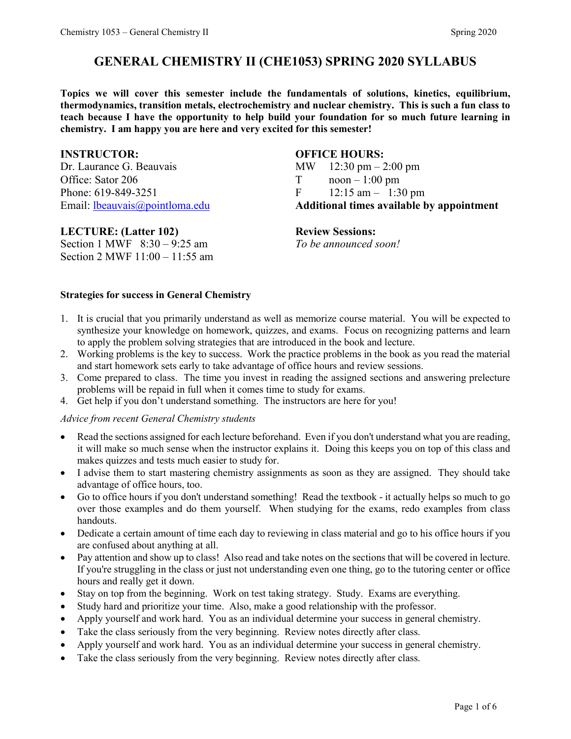# **GENERAL CHEMISTRY II (CHE1053) SPRING 2020 SYLLABUS**

**Topics we will cover this semester include the fundamentals of solutions, kinetics, equilibrium, thermodynamics, transition metals, electrochemistry and nuclear chemistry. This is such a fun class to teach because I have the opportunity to help build your foundation for so much future learning in chemistry. I am happy you are here and very excited for this semester!** 

Dr. Laurance G. Beauvais MW 12:30 pm – 2:00 pm Office: Sator 206 T noon – 1:00 pm Phone: 619-849-3251 F 12:15 am – 1:30 pm

# **INSTRUCTOR: OFFICE HOURS:**

Email: [lbeauvais@pointloma.edu](mailto:lbeauvais@pointloma.edu) **Additional times available by appointment**

#### **LECTURE: (Latter 102) Review Sessions:**

Section 1 MWF 8:30 – 9:25 am *To be announced soon!* Section 2 MWF 11:00 – 11:55 am

#### **Strategies for success in General Chemistry**

- 1. It is crucial that you primarily understand as well as memorize course material. You will be expected to synthesize your knowledge on homework, quizzes, and exams. Focus on recognizing patterns and learn to apply the problem solving strategies that are introduced in the book and lecture.
- 2. Working problems is the key to success. Work the practice problems in the book as you read the material and start homework sets early to take advantage of office hours and review sessions.
- 3. Come prepared to class. The time you invest in reading the assigned sections and answering prelecture problems will be repaid in full when it comes time to study for exams.
- 4. Get help if you don't understand something. The instructors are here for you!

#### *Advice from recent General Chemistry students*

- Read the sections assigned for each lecture beforehand. Even if you don't understand what you are reading, it will make so much sense when the instructor explains it. Doing this keeps you on top of this class and makes quizzes and tests much easier to study for.
- I advise them to start mastering chemistry assignments as soon as they are assigned. They should take advantage of office hours, too.
- Go to office hours if you don't understand something! Read the textbook it actually helps so much to go over those examples and do them yourself. When studying for the exams, redo examples from class handouts.
- Dedicate a certain amount of time each day to reviewing in class material and go to his office hours if you are confused about anything at all.
- Pay attention and show up to class! Also read and take notes on the sections that will be covered in lecture. If you're struggling in the class or just not understanding even one thing, go to the tutoring center or office hours and really get it down.
- Stay on top from the beginning. Work on test taking strategy. Study. Exams are everything.
- Study hard and prioritize your time. Also, make a good relationship with the professor.
- Apply yourself and work hard. You as an individual determine your success in general chemistry.
- Take the class seriously from the very beginning. Review notes directly after class.
- Apply yourself and work hard. You as an individual determine your success in general chemistry.
- Take the class seriously from the very beginning. Review notes directly after class.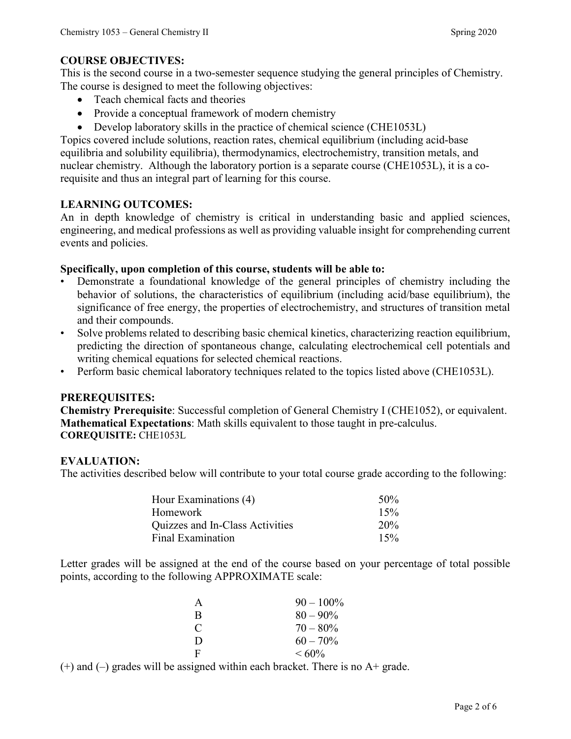# **COURSE OBJECTIVES:**

This is the second course in a two-semester sequence studying the general principles of Chemistry. The course is designed to meet the following objectives:

- Teach chemical facts and theories
- Provide a conceptual framework of modern chemistry
- Develop laboratory skills in the practice of chemical science (CHE1053L)

Topics covered include solutions, reaction rates, chemical equilibrium (including acid-base equilibria and solubility equilibria), thermodynamics, electrochemistry, transition metals, and nuclear chemistry. Although the laboratory portion is a separate course (CHE1053L), it is a corequisite and thus an integral part of learning for this course.

# **LEARNING OUTCOMES:**

An in depth knowledge of chemistry is critical in understanding basic and applied sciences, engineering, and medical professions as well as providing valuable insight for comprehending current events and policies.

# **Specifically, upon completion of this course, students will be able to:**

- Demonstrate a foundational knowledge of the general principles of chemistry including the behavior of solutions, the characteristics of equilibrium (including acid/base equilibrium), the significance of free energy, the properties of electrochemistry, and structures of transition metal and their compounds.
- Solve problems related to describing basic chemical kinetics, characterizing reaction equilibrium, predicting the direction of spontaneous change, calculating electrochemical cell potentials and writing chemical equations for selected chemical reactions.
- Perform basic chemical laboratory techniques related to the topics listed above (CHE1053L).

# **PREREQUISITES:**

**Chemistry Prerequisite**: Successful completion of General Chemistry I (CHE1052), or equivalent. **Mathematical Expectations**: Math skills equivalent to those taught in pre-calculus. **COREQUISITE:** CHE1053L

# **EVALUATION:**

The activities described below will contribute to your total course grade according to the following:

| Hour Examinations (4)           | 50% |
|---------------------------------|-----|
| Homework                        | 15% |
| Quizzes and In-Class Activities | 20% |
| Final Examination               | 15% |

Letter grades will be assigned at the end of the course based on your percentage of total possible points, according to the following APPROXIMATE scale:

| A             | $90 - 100\%$ |
|---------------|--------------|
| B             | $80 - 90\%$  |
| $\mathcal{C}$ | $70 - 80\%$  |
| D             | $60 - 70\%$  |
| $\mathbf{F}$  | $< 60\%$     |

 $(+)$  and  $(-)$  grades will be assigned within each bracket. There is no  $A+$  grade.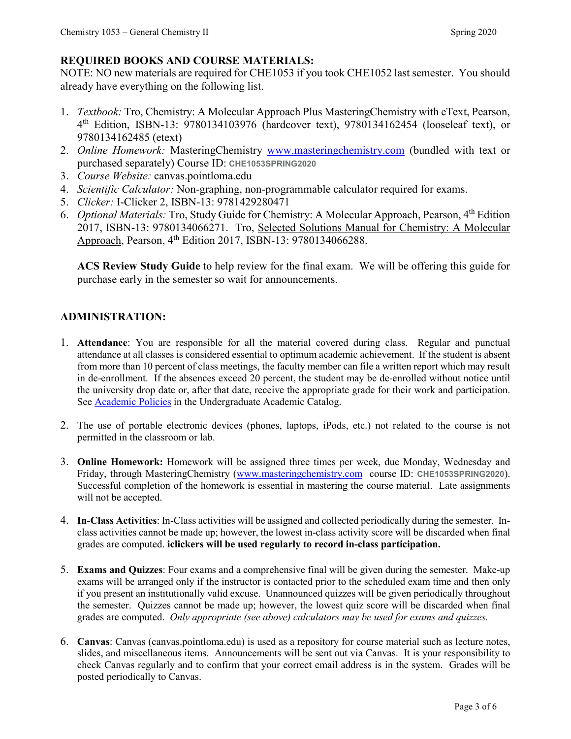# **REQUIRED BOOKS AND COURSE MATERIALS:**

NOTE: NO new materials are required for CHE1053 if you took CHE1052 last semester. You should already have everything on the following list.

- 1. *Textbook:* Tro, Chemistry: A Molecular Approach Plus MasteringChemistry with eText, Pearson, 4th Edition, ISBN-13: 9780134103976 (hardcover text), 9780134162454 (looseleaf text), or 9780134162485 (etext)
- 2. *Online Homework:* MasteringChemistry [www.masteringchemistry.com](http://www.masteringchemistry.com/) (bundled with text or purchased separately) Course ID: **CHE1053SPRING2020**
- 3. *Course Website:* canvas.pointloma.edu
- 4. *Scientific Calculator:* Non-graphing, non-programmable calculator required for exams.
- 5. *Clicker:* I-Clicker 2, ISBN-13: 9781429280471
- 6. *Optional Materials:* Tro, Study Guide for Chemistry: A Molecular Approach, Pearson, 4th Edition 2017, ISBN-13: 9780134066271. Tro, Selected Solutions Manual for Chemistry: A Molecular Approach, Pearson, 4<sup>th</sup> Edition 2017, ISBN-13: 9780134066288.

**ACS Review Study Guide** to help review for the final exam. We will be offering this guide for purchase early in the semester so wait for announcements.

# **ADMINISTRATION:**

- 1. **Attendance**: You are responsible for all the material covered during class. Regular and punctual attendance at all classes is considered essential to optimum academic achievement. If the student is absent from more than 10 percent of class meetings, the faculty member can file a written report which may result in de-enrollment. If the absences exceed 20 percent, the student may be de-enrolled without notice until the university drop date or, after that date, receive the appropriate grade for their work and participation. See [Academic Policies](http://catalog.pointloma.edu/content.php?catoid=18&navoid=1278) in the Undergraduate Academic Catalog.
- 2. The use of portable electronic devices (phones, laptops, iPods, etc.) not related to the course is not permitted in the classroom or lab.
- 3. **Online Homework:** Homework will be assigned three times per week, due Monday, Wednesday and Friday, through MasteringChemistry [\(www.masteringchemistry.com](http://www.masteringchemistry.com/) course ID: **CHE1053SPRING2020**). Successful completion of the homework is essential in mastering the course material. Late assignments will not be accepted.
- 4. **In-Class Activities**: In-Class activities will be assigned and collected periodically during the semester. Inclass activities cannot be made up; however, the lowest in-class activity score will be discarded when final grades are computed. **iclickers will be used regularly to record in-class participation.**
- 5. **Exams and Quizzes**: Four exams and a comprehensive final will be given during the semester. Make-up exams will be arranged only if the instructor is contacted prior to the scheduled exam time and then only if you present an institutionally valid excuse. Unannounced quizzes will be given periodically throughout the semester. Quizzes cannot be made up; however, the lowest quiz score will be discarded when final grades are computed. *Only appropriate (see above) calculators may be used for exams and quizzes.*
- 6. **Canvas**: Canvas (canvas.pointloma.edu) is used as a repository for course material such as lecture notes, slides, and miscellaneous items. Announcements will be sent out via Canvas. It is your responsibility to check Canvas regularly and to confirm that your correct email address is in the system. Grades will be posted periodically to Canvas.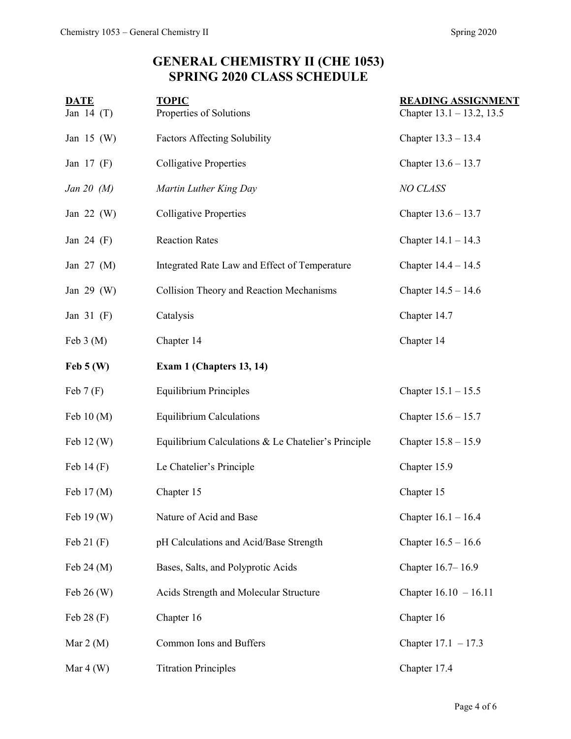# **GENERAL CHEMISTRY II (CHE 1053) SPRING 2020 CLASS SCHEDULE**

| <b>DATE</b><br>Jan 14 $(T)$ | <b>TOPIC</b><br>Properties of Solutions             | <b>READING ASSIGNMENT</b><br>Chapter $13.1 - 13.2$ , 13.5 |
|-----------------------------|-----------------------------------------------------|-----------------------------------------------------------|
| Jan 15 $(W)$                | <b>Factors Affecting Solubility</b>                 | Chapter $13.3 - 13.4$                                     |
| Jan $17$ (F)                | <b>Colligative Properties</b>                       | Chapter $13.6 - 13.7$                                     |
| Jan 20 $(M)$                | Martin Luther King Day                              | NO CLASS                                                  |
| Jan $22 \, (W)$             | <b>Colligative Properties</b>                       | Chapter $13.6 - 13.7$                                     |
| Jan 24 $(F)$                | <b>Reaction Rates</b>                               | Chapter $14.1 - 14.3$                                     |
| Jan $27 \, (M)$             | Integrated Rate Law and Effect of Temperature       | Chapter $14.4 - 14.5$                                     |
| Jan $29$ (W)                | Collision Theory and Reaction Mechanisms            | Chapter $14.5 - 14.6$                                     |
| Jan $31$ (F)                | Catalysis                                           | Chapter 14.7                                              |
| Feb $3(M)$                  | Chapter 14                                          | Chapter 14                                                |
| $\text{Feb } 5 \text{ (W)}$ | Exam 1 (Chapters 13, 14)                            |                                                           |
| Feb $7(F)$                  | <b>Equilibrium Principles</b>                       | Chapter $15.1 - 15.5$                                     |
| Feb $10(M)$                 | <b>Equilibrium Calculations</b>                     | Chapter $15.6 - 15.7$                                     |
| Feb $12(W)$                 | Equilibrium Calculations & Le Chatelier's Principle | Chapter $15.8 - 15.9$                                     |
| Feb $14(F)$                 | Le Chatelier's Principle                            | Chapter 15.9                                              |
| Feb 17 (M)                  | Chapter 15                                          | Chapter 15                                                |
| Feb 19 (W)                  | Nature of Acid and Base                             | Chapter $16.1 - 16.4$                                     |
| Feb $21(F)$                 | pH Calculations and Acid/Base Strength              | Chapter $16.5 - 16.6$                                     |
| Feb $24 \, (M)$             | Bases, Salts, and Polyprotic Acids                  | Chapter 16.7-16.9                                         |
| Feb $26 \, (W)$             | Acids Strength and Molecular Structure              | Chapter $16.10 - 16.11$                                   |
| Feb $28(F)$                 | Chapter 16                                          | Chapter 16                                                |
| Mar $2(M)$                  | Common Ions and Buffers                             | Chapter $17.1 - 17.3$                                     |
| Mar $4(W)$                  | <b>Titration Principles</b>                         | Chapter 17.4                                              |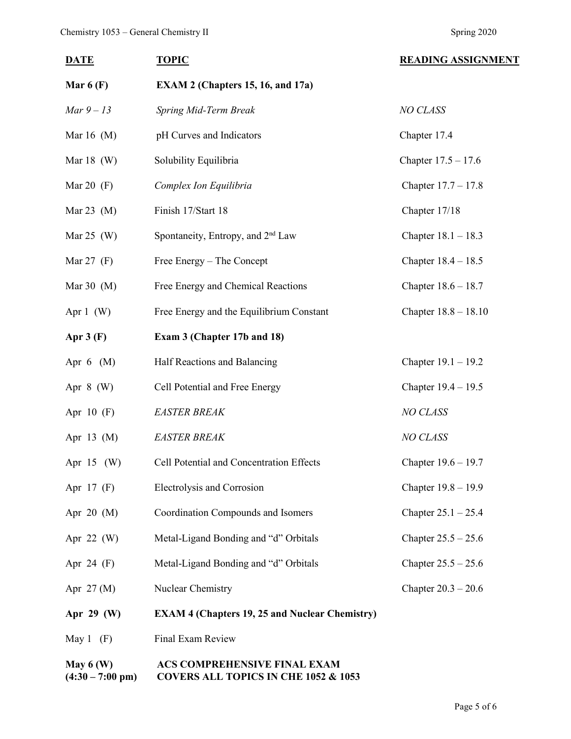# **DATE TOPIC TOPIC READING ASSIGNMENT Mar 6 (F) EXAM 2 (Chapters 15, 16, and 17a)** *Mar 9 – 13 Spring Mid-Term Break NO CLASS* Mar 16 (M) bH Curves and Indicators chapter 17.4 Mar 18 (W) Solubility Equilibria Chapter 17.5 – 17.6 Mar 20 (F) *Complex Ion Equilibria* Chapter 17.7 – 17.8 Mar 23 (M) Finish 17/Start 18 Chapter 17/18 Mar 25 (W) Spontaneity, Entropy, and  $2<sup>nd</sup> Law$  Chapter 18.1 – 18.3 Mar 27 (F) Free Energy – The Concept Chapter 18.4 – 18.5 Mar 30 (M) Free Energy and Chemical Reactions Chapter 18.6 – 18.7 Apr 1 (W) Free Energy and the Equilibrium Constant Chapter 18.8 – 18.10 **Apr 3 (F) Exam 3 (Chapter 17b and 18)** Apr 6 (M) Half Reactions and Balancing Chapter 19.1 – 19.2 Apr 8 (W) Cell Potential and Free Energy Chapter 19.4 – 19.5 Apr 10 (F) *EASTER BREAK NO CLASS* Apr 13 (M) *EASTER BREAK NO CLASS* Apr 15 (W) Cell Potential and Concentration Effects Chapter 19.6 – 19.7 Apr 17 (F) Electrolysis and Corrosion Chapter 19.8 – 19.9 Apr 20 (M) Coordination Compounds and Isomers Chapter 25.1 – 25.4 Apr 22 (W) Metal-Ligand Bonding and "d" Orbitals Chapter 25.5 – 25.6 Apr 24 (F) Metal-Ligand Bonding and "d" Orbitals Chapter 25.5 – 25.6 Apr 27 (M) Nuclear Chemistry Chapter 20.3 – 20.6 **Apr 29 (W) EXAM 4 (Chapters 19, 25 and Nuclear Chemistry)** May 1 (F) Final Exam Review **May 6 (W) ACS COMPREHENSIVE FINAL EXAM**